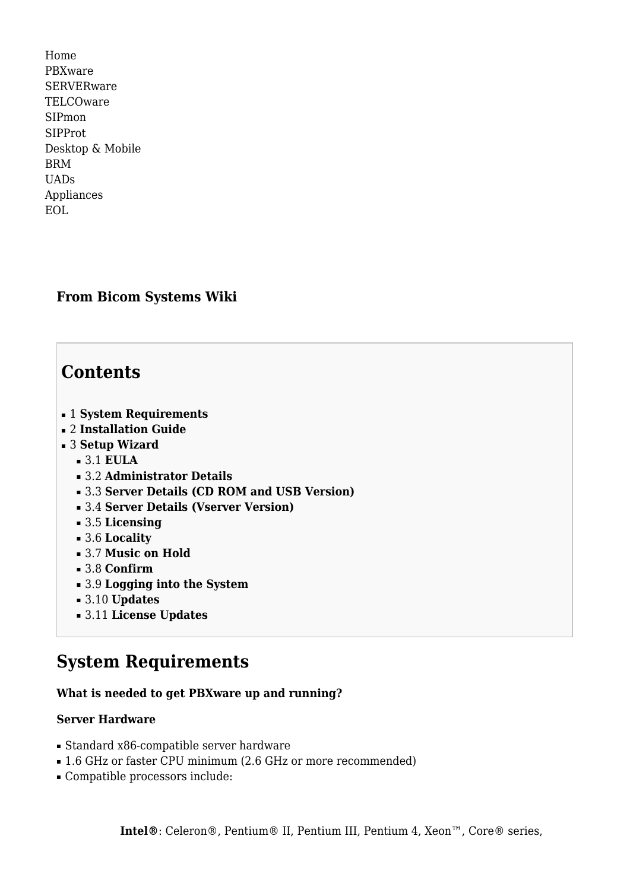[Home](http://wiki.bicomsystems.com/Main_Page) [PBXware](http://wiki.bicomsystems.com/PBXware) **[SERVERware](http://wiki.bicomsystems.com/SERVERware)** [TELCOware](http://wiki.bicomsystems.com/TELCOware) [SIPmon](http://wiki.bicomsystems.com/SIPmon) [SIPProt](http://wiki.bicomsystems.com/SIPProt) [Desktop & Mobile](http://wiki.bicomsystems.com/Desktop_and_Mobile) [BRM](http://wiki.bicomsystems.com/BRM) [UADs](http://wiki.bicomsystems.com/UADs) [Appliances](http://wiki.bicomsystems.com/Appliances) [EOL](http://wiki.bicomsystems.com/EOL)

# **From Bicom Systems Wiki**

# **Contents**

- [1](#page--1-0) **[System Requirements](#page--1-0)**
- [2](#page--1-0) **[Installation Guide](#page--1-0)**
- [3](#page--1-0) **[Setup Wizard](#page--1-0)**
	- [3.1](#page--1-0) **[EULA](#page--1-0)**
	- [3.2](#page--1-0) **[Administrator Details](#page--1-0)**
	- [3.3](#Server_Details_.28CD_ROM_and_USB_Version.29) **[Server Details \(CD ROM and USB Version\)](#Server_Details_.28CD_ROM_and_USB_Version.29)**
	- [3.4](#Server_Details_.28Vserver_Version.29) **[Server Details \(Vserver Version\)](#Server_Details_.28Vserver_Version.29)**
	- [3.5](#page--1-0) **[Licensing](#page--1-0)**
	- [3.6](#page--1-0) **[Locality](#page--1-0)**
	- [3.7](#page--1-0) **[Music on Hold](#page--1-0)**
	- [3.8](#page--1-0) **[Confirm](#page--1-0)**
	- [3.9](#page--1-0) **[Logging into the System](#page--1-0)**
	- [3.10](#page--1-0) **[Updates](#page--1-0)**
	- [3.11](#page--1-0) **[License Updates](#page--1-0)**

# **System Requirements**

# **What is needed to get PBXware up and running?**

#### **Server Hardware**

- Standard x86-compatible server hardware
- 1.6 GHz or faster CPU minimum (2.6 GHz or more recommended)
- Compatible processors include: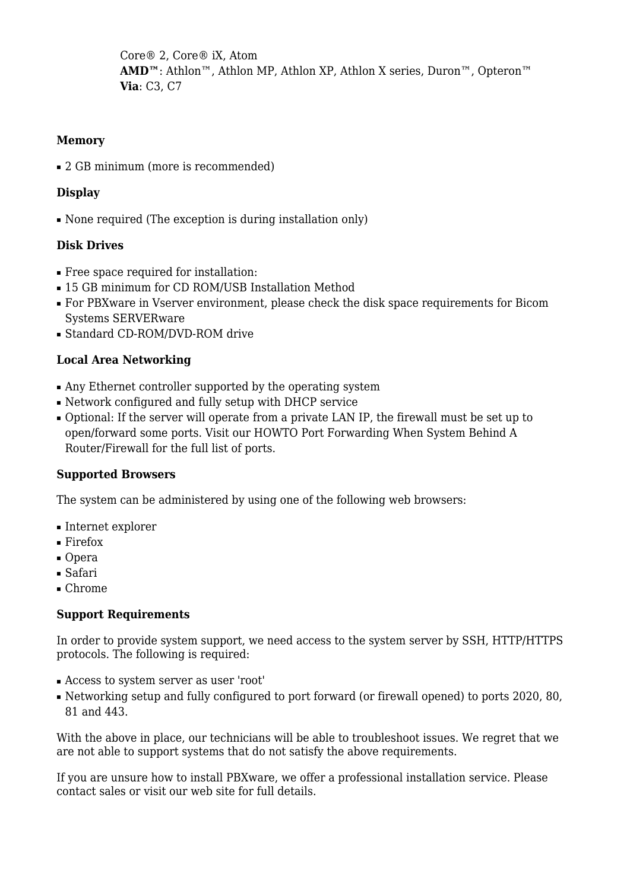Core® 2, Core® iX, Atom AMD<sup>™</sup>: Athlon<sup>™</sup>, Athlon MP, Athlon XP, Athlon X series, Duron<sup>™</sup>, Opteron<sup>™</sup> **Via**: C3, C7

# **Memory**

■ 2 GB minimum (more is recommended)

# **Display**

• None required (The exception is during installation only)

# **Disk Drives**

- Free space required for installation:
- 15 GB minimum for CD ROM/USB Installation Method
- For PBXware in Vserver environment, please check the disk space requirements for Bicom Systems SERVERware
- Standard CD-ROM/DVD-ROM drive

# **Local Area Networking**

- Any Ethernet controller supported by the operating system
- Network configured and fully setup with DHCP service
- Optional: If the server will operate from a private LAN IP, the firewall must be set up to open/forward some ports. Visit our [HOWTO Port Forwarding When System Behind A](http://wiki.bicomsystems.com/HOWTO_Port_Forwarding_When_System_Behind_A_Router/Firewall) [Router/Firewall](http://wiki.bicomsystems.com/HOWTO_Port_Forwarding_When_System_Behind_A_Router/Firewall) for the full list of ports.

# **Supported Browsers**

The system can be administered by using one of the following web browsers:

- Internet explorer
- Firefox
- Opera
- Safari
- Chrome

# **Support Requirements**

In order to provide system support, we need access to the system server by SSH, HTTP/HTTPS protocols. The following is required:

- Access to system server as user 'root'
- Networking setup and fully configured to port forward (or firewall opened) to ports 2020, 80, 81 and 443.

With the above in place, our technicians will be able to troubleshoot issues. We regret that we are not able to support systems that do not satisfy the above requirements.

If you are unsure how to install PBXware, we offer a professional installation service. Please contact sales or visit our web site for full details.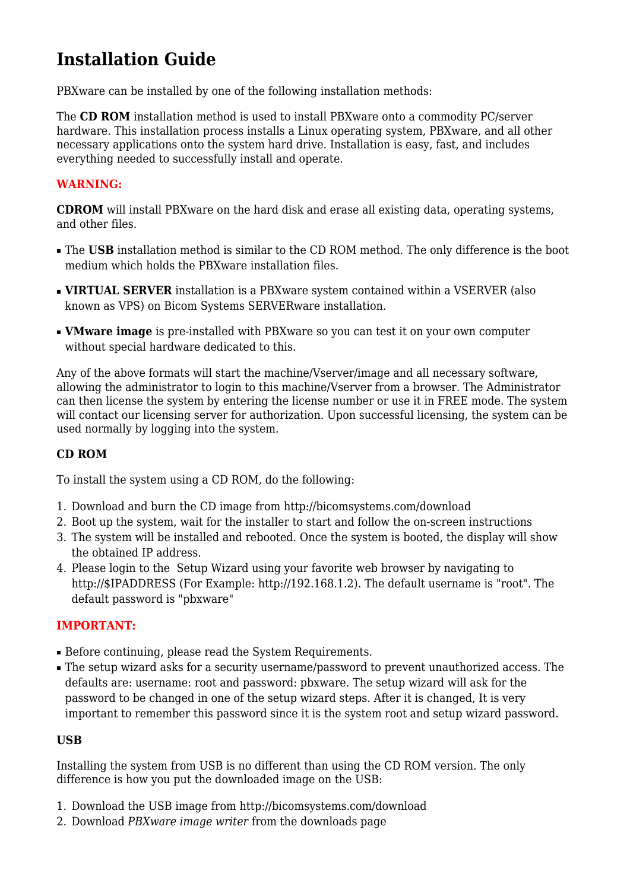# **Installation Guide**

PBXware can be installed by one of the following installation methods:

The **CD ROM** installation method is used to install PBXware onto a commodity PC/server hardware. This installation process installs a Linux operating system, PBXware, and all other necessary applications onto the system hard drive. Installation is easy, fast, and includes everything needed to successfully install and operate.

# **WARNING:**

**CDROM** will install PBXware on the hard disk and erase all existing data, operating systems, and other files.

- **The USB** installation method is similar to the CD ROM method. The only difference is the boot medium which holds the PBXware installation files.
- **VIRTUAL SERVER** installation is a PBXware system contained within a VSERVER (also known as VPS) on Bicom Systems SERVERware installation.
- **VMware image** is pre-installed with PBXware so you can test it on your own computer without special hardware dedicated to this.

Any of the above formats will start the machine/Vserver/image and all necessary software, allowing the administrator to login to this machine/Vserver from a browser. The Administrator can then license the system by entering the license number or use it in FREE mode. The system will contact our licensing server for authorization. Upon successful licensing, the system can be used normally by logging into the system.

# **CD ROM**

To install the system using a CD ROM, do the following:

- 1. Download and burn the CD image from<http://bicomsystems.com/download>
- 2. Boot up the system, wait for the installer to start and follow the on-screen instructions
- 3. The system will be installed and rebooted. Once the system is booted, the display will show the obtained IP address.
- 4. Please login to the [Setup Wizard](http://wiki.bicomsystems.com/Business_6_Getting_Started#Setup_Wizard) using your favorite web browser by navigating to [http://\\$IPADDRESS](#page--1-0) (For Example:<http://192.168.1.2>). The default username is "root". The default password is "pbxware"

# **IMPORTANT:**

- Before continuing, please read the System Requirements.
- The setup wizard asks for a security username/password to prevent unauthorized access. The defaults are: username: root and password: pbxware. The setup wizard will ask for the password to be changed in one of the setup wizard steps. After it is changed, It is very important to remember this password since it is the system root and setup wizard password.

# **USB**

Installing the system from USB is no different than using the CD ROM version. The only difference is how you put the downloaded image on the USB:

- 1. Download the USB image from<http://bicomsystems.com/download>
- 2. Download *PBXware image writer* from the downloads page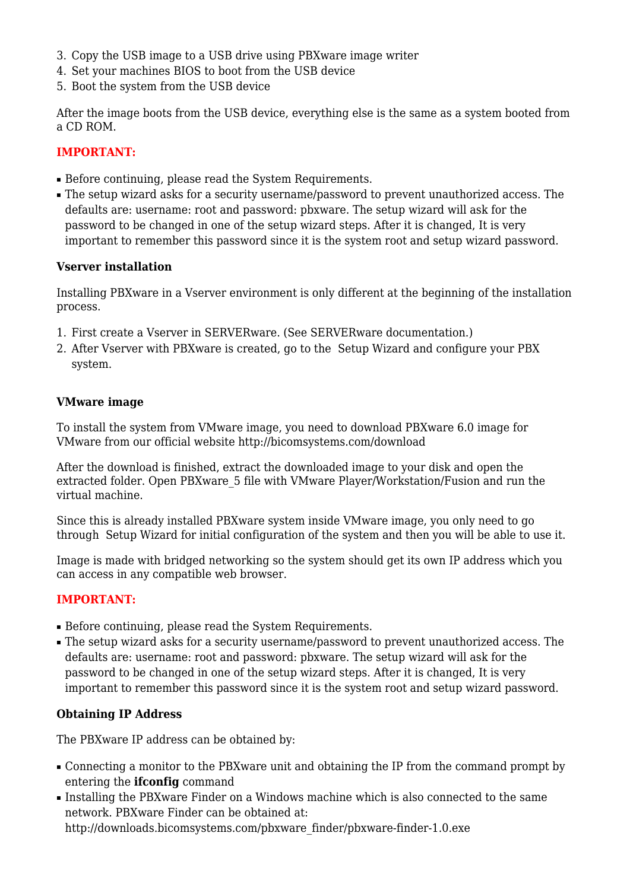- 3. Copy the USB image to a USB drive using PBXware image writer
- 4. Set your machines BIOS to boot from the USB device
- 5. Boot the system from the USB device

After the image boots from the USB device, everything else is the same as a system booted from a CD ROM.

# **IMPORTANT:**

- Before continuing, please read the System Requirements.
- The setup wizard asks for a security username/password to prevent unauthorized access. The defaults are: username: root and password: pbxware. The setup wizard will ask for the password to be changed in one of the setup wizard steps. After it is changed, It is very important to remember this password since it is the system root and setup wizard password.

# **Vserver installation**

Installing PBXware in a Vserver environment is only different at the beginning of the installation process.

- 1. First create a Vserver in SERVERware. (See SERVERware documentation.)
- 2. After Vserver with PBXware is created, go to the [Setup Wizard](http://wiki.bicomsystems.com/Business_6_Getting_Started#Setup_Wizard) and configure your PBX system.

# **VMware image**

To install the system from VMware image, you need to download PBXware 6.0 image for VMware from our official website<http://bicomsystems.com/download>

After the download is finished, extract the downloaded image to your disk and open the extracted folder. Open PBXware\_5 file with VMware Player/Workstation/Fusion and run the virtual machine.

Since this is already installed PBXware system inside VMware image, you only need to go through [Setup Wizard](http://wiki.bicomsystems.com/Business_6_Getting_Started#Setup_Wizard) for initial configuration of the system and then you will be able to use it.

Image is made with bridged networking so the system should get its own IP address which you can access in any compatible web browser.

# **IMPORTANT:**

- Before continuing, please read the System Requirements.
- The setup wizard asks for a security username/password to prevent unauthorized access. The defaults are: username: root and password: pbxware. The setup wizard will ask for the password to be changed in one of the setup wizard steps. After it is changed, It is very important to remember this password since it is the system root and setup wizard password.

# **Obtaining IP Address**

The PBXware IP address can be obtained by:

- Connecting a monitor to the PBXware unit and obtaining the IP from the command prompt by entering the **ifconfig** command
- Installing the PBXware Finder on a Windows machine which is also connected to the same network. PBXware Finder can be obtained at: [http://downloads.bicomsystems.com/pbxware\\_finder/pbxware-finder-1.0.exe](http://downloads.bicomsystems.com/pbxware_finder/pbxware-finder-1.0.exe)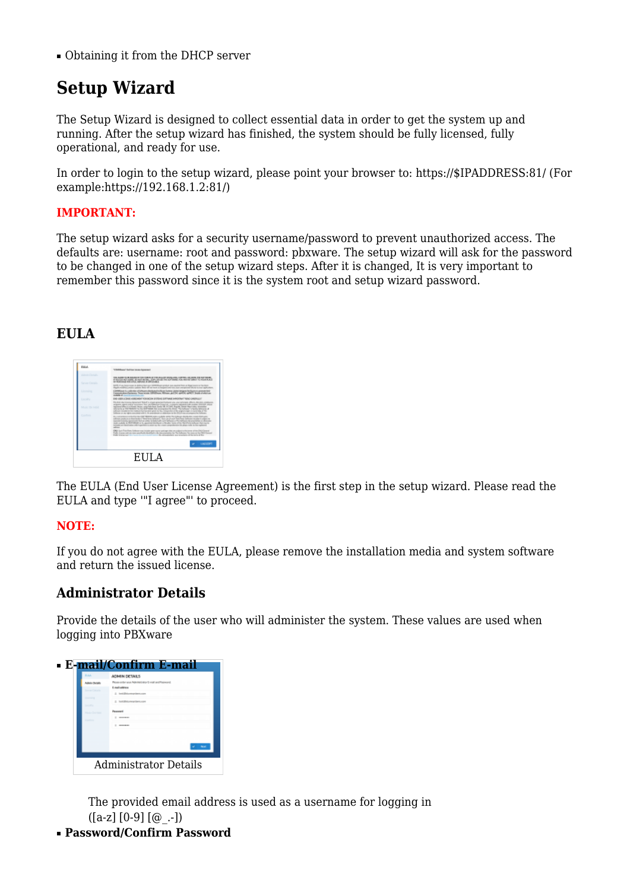■ Obtaining it from the DHCP server

# **Setup Wizard**

The Setup Wizard is designed to collect essential data in order to get the system up and running. After the setup wizard has finished, the system should be fully licensed, fully operational, and ready for use.

In order to login to the setup wizard, please point your browser to: [https://\\$IPADDRESS:81/](#page--1-0) (For example:[https://192.168.1.2:81/\)](https://192.168.1.2:81/)

# **IMPORTANT:**

The setup wizard asks for a security username/password to prevent unauthorized access. The defaults are: username: root and password: pbxware. The setup wizard will ask for the password to be changed in one of the setup wizard steps. After it is changed, It is very important to remember this password since it is the system root and setup wizard password.

# **EULA**



The EULA (End User License Agreement) is the first step in the setup wizard. Please read the EULA and type '"I agree"' to proceed.

# **NOTE:**

If you do not agree with the EULA, please remove the installation media and system software and return the issued license.

# **Administrator Details**

Provide the details of the user who will administer the system. These values are used when logging into PBXware

| <b>ADMIN DETAILS</b>                    |
|-----------------------------------------|
| as only you Advisement it was anothered |
| Englishtes                              |
| bank (Mot potentari lastra aria         |
| <b>Personnell</b>                       |
|                                         |
| -----                                   |
|                                         |
|                                         |
|                                         |

The provided email address is used as a username for logging in  $(Ia-z110-911@. -1)$ 

■ **Password/Confirm Password**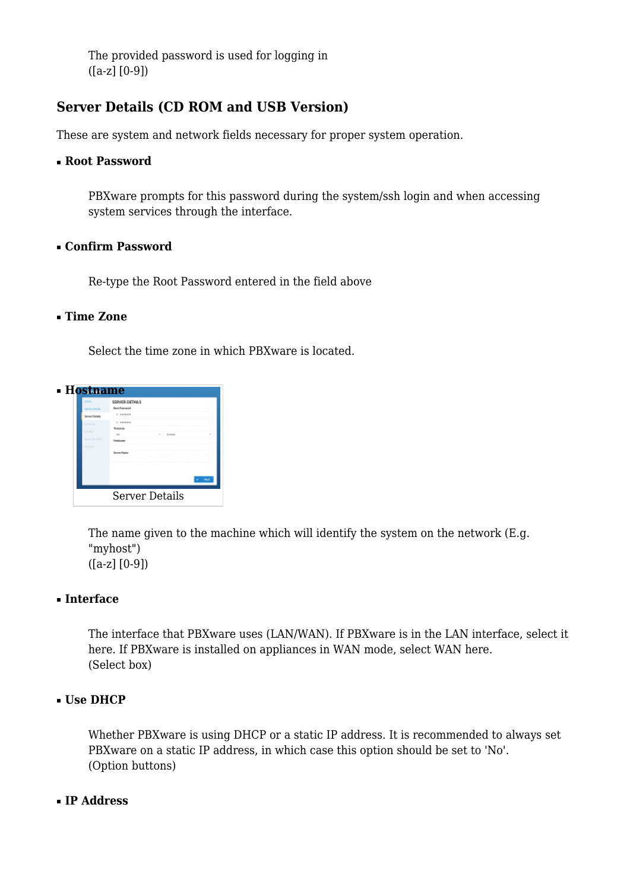The provided password is used for logging in ([a-z] [0-9])

# **Server Details (CD ROM and USB Version)**

These are system and network fields necessary for proper system operation.

#### ■ **Root Password**

PBXware prompts for this password during the system/ssh login and when accessing system services through the interface.

#### ■ **Confirm Password**

Re-type the Root Password entered in the field above

#### ■ **Time Zone**

Select the time zone in which PBXware is located.



The name given to the machine which will identify the system on the network (E.g. "myhost") ([a-z] [0-9])

# ■ **Interface**

The interface that PBXware uses (LAN/WAN). If PBXware is in the LAN interface, select it here. If PBXware is installed on appliances in WAN mode, select WAN here. (Select box)

# ■ **Use DHCP**

Whether PBXware is using DHCP or a static IP address. It is recommended to always set PBXware on a static IP address, in which case this option should be set to 'No'. (Option buttons)

#### ■ **IP Address**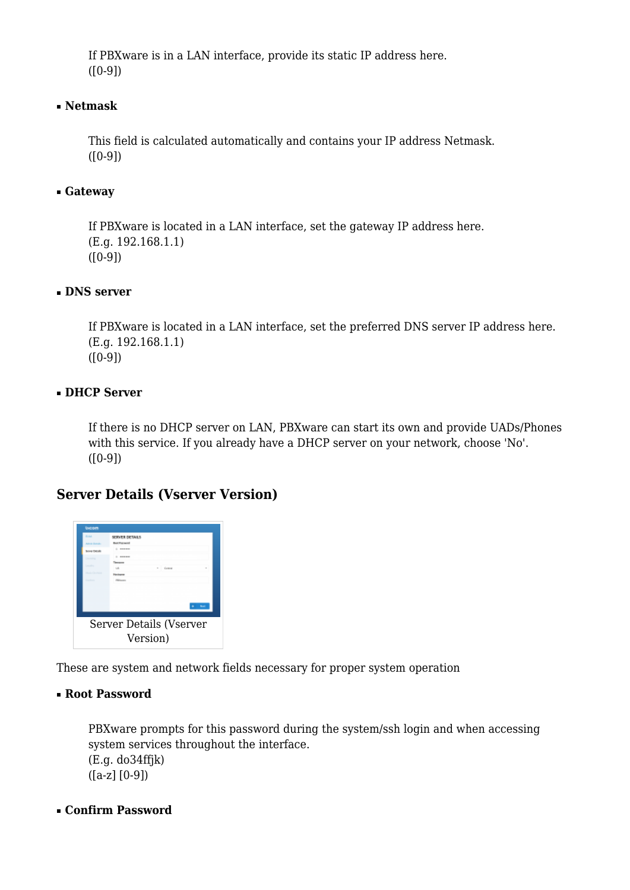If PBXware is in a LAN interface, provide its static IP address here.  $([0-9])$ 

# ■ **Netmask**

This field is calculated automatically and contains your IP address Netmask.  $([0-9])$ 

# ■ **Gateway**

If PBXware is located in a LAN interface, set the gateway IP address here. (E.g. 192.168.1.1)  $([0-9])$ 

# ■ **DNS server**

If PBXware is located in a LAN interface, set the preferred DNS server IP address here. (E.g. 192.168.1.1)  $([0-9])$ 

# ■ **DHCP Server**

If there is no DHCP server on LAN, PBXware can start its own and provide UADs/Phones with this service. If you already have a DHCP server on your network, choose 'No'.  $([0-9])$ 

# **Server Details (Vserver Version)**



These are system and network fields necessary for proper system operation

# ■ **Root Password**

PBXware prompts for this password during the system/ssh login and when accessing system services throughout the interface. (E.g. do34ffjk)  $([a-z] [0-9])$ 

# ■ **Confirm Password**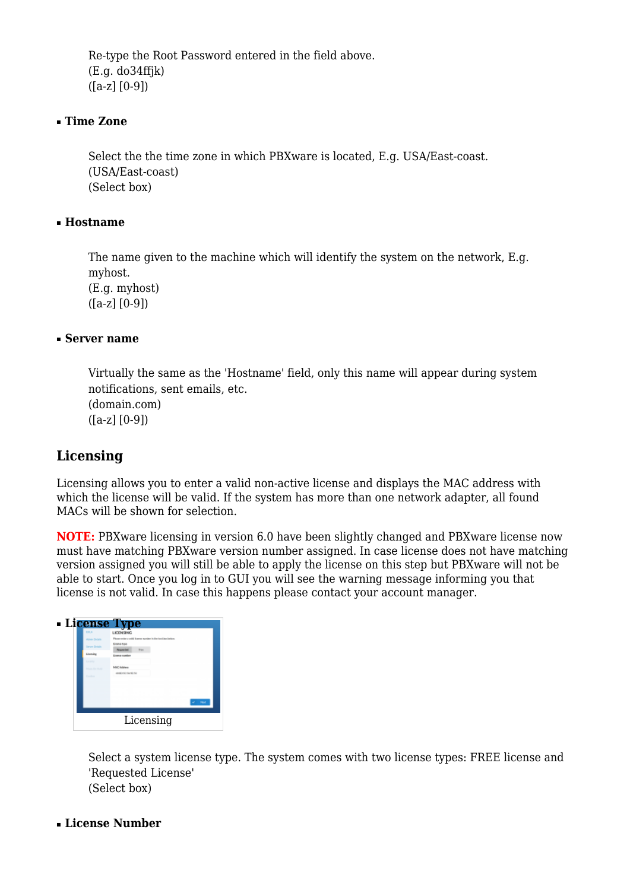Re-type the Root Password entered in the field above. (E.g. do34ffjk) ([a-z] [0-9])

#### ■ **Time Zone**

Select the the time zone in which PBXware is located, E.g. USA/East-coast. (USA/East-coast) (Select box)

#### ■ **Hostname**

The name given to the machine which will identify the system on the network, E.g. myhost. (E.g. myhost) ([a-z] [0-9])

#### ■ **Server name**

Virtually the same as the 'Hostname' field, only this name will appear during system notifications, sent emails, etc. (domain.com)  $([a-z] [0-9])$ 

# **Licensing**

Licensing allows you to enter a valid non-active license and displays the MAC address with which the license will be valid. If the system has more than one network adapter, all found MACs will be shown for selection.

**NOTE:** PBXware licensing in version 6.0 have been slightly changed and PBXware license now must have matching PBXware version number assigned. In case license does not have matching version assigned you will still be able to apply the license on this step but PBXware will not be able to start. Once you log in to GUI you will see the warning message informing you that license is not valid. In case this happens please contact your account manager.

|                                                                                                                                 | - License Type                                                                                                                                                                                         |
|---------------------------------------------------------------------------------------------------------------------------------|--------------------------------------------------------------------------------------------------------------------------------------------------------------------------------------------------------|
| <b>THE A</b><br>Advise Tentals<br><b>Incorrection</b><br>Linemains<br><b>Location</b><br><b>Mark Wallace</b><br><b>Contract</b> | LICENSING<br>Please order a cold busine species in the land isoulation:<br><b>Exams from</b><br><b>Black</b><br><b>Reported</b><br><b>Energy combat</b><br>Mill Holders<br><b>Individual Kareki Ka</b> |
|                                                                                                                                 | Licensing                                                                                                                                                                                              |

Select a system license type. The system comes with two license types: FREE license and 'Requested License' (Select box)

■ **License Number**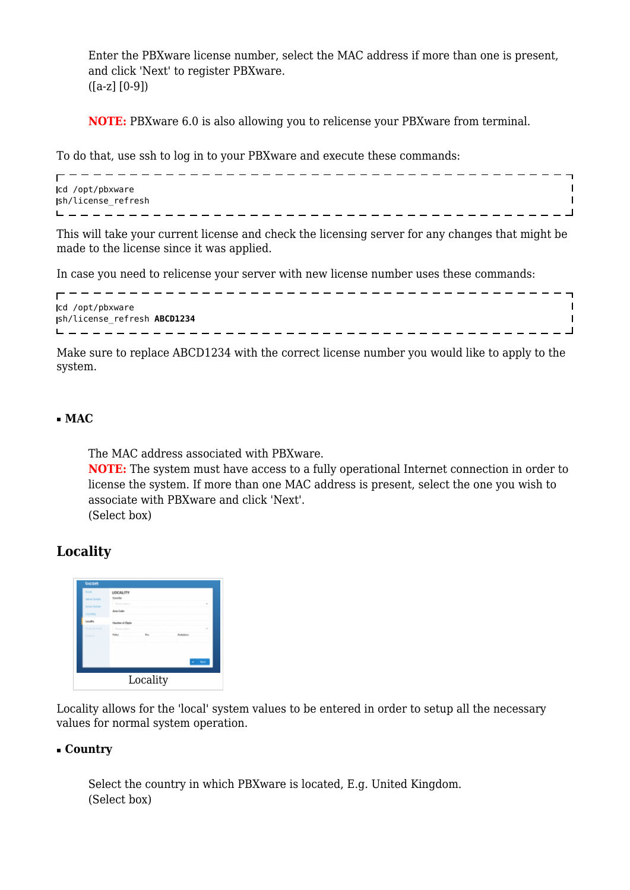Enter the PBXware license number, select the MAC address if more than one is present, and click 'Next' to register PBXware. ([a-z] [0-9])

**NOTE:** PBXware 6.0 is also allowing you to relicense your PBXware from terminal.

To do that, use ssh to log in to your PBXware and execute these commands:

```
cd /opt/pbxware
                                    \mathbf{I}sh/license_refresh
                                    \overline{1}___________________________
```
This will take your current license and check the licensing server for any changes that might be made to the license since it was applied.

In case you need to relicense your server with new license number uses these commands:

| cd /opt/pbxware              |  |
|------------------------------|--|
| jsh/license_refresh ABCD1234 |  |
|                              |  |

Make sure to replace ABCD1234 with the correct license number you would like to apply to the system.

# ■ **MAC**

The MAC address associated with PBXware. **NOTE:** The system must have access to a fully operational Internet connection in order to license the system. If more than one MAC address is present, select the one you wish to

associate with PBXware and click 'Next'.

(Select box)

# **Locality**



Locality allows for the 'local' system values to be entered in order to setup all the necessary values for normal system operation.

# ■ **Country**

Select the country in which PBXware is located, E.g. United Kingdom. (Select box)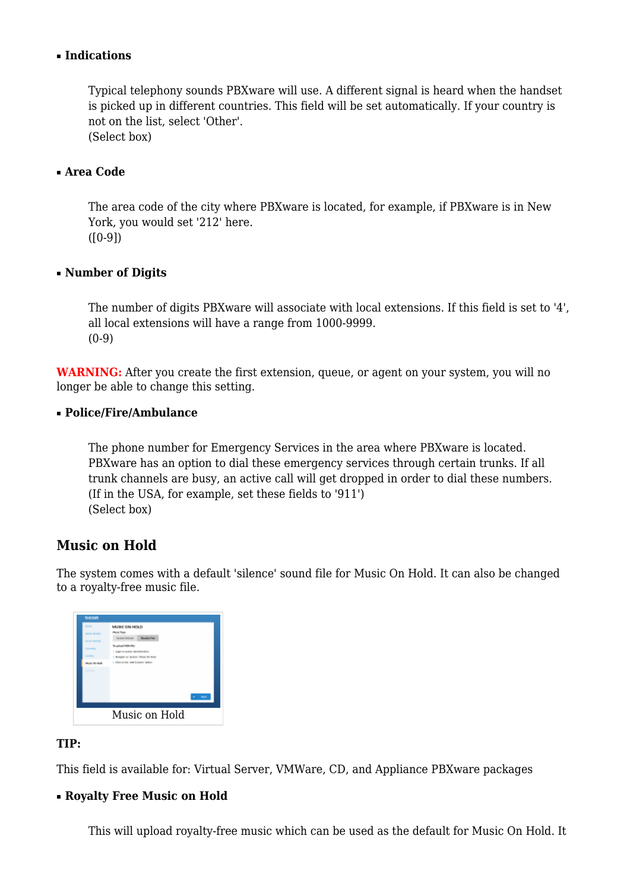# ■ **Indications**

Typical telephony sounds PBXware will use. A different signal is heard when the handset is picked up in different countries. This field will be set automatically. If your country is not on the list, select 'Other'. (Select box)

■ **Area Code**

The area code of the city where PBXware is located, for example, if PBXware is in New York, you would set '212' here.  $([0-9])$ 

# ■ **Number of Digits**

The number of digits PBXware will associate with local extensions. If this field is set to '4', all local extensions will have a range from 1000-9999.  $(0-9)$ 

**WARNING:** After you create the first extension, queue, or agent on your system, you will no longer be able to change this setting.

#### ■ **Police/Fire/Ambulance**

The phone number for Emergency Services in the area where PBXware is located. PBXware has an option to dial these emergency services through certain trunks. If all trunk channels are busy, an active call will get dropped in order to dial these numbers. (If in the USA, for example, set these fields to '911') (Select box)

# **Music on Hold**

The system comes with a default 'silence' sound file for Music On Hold. It can also be changed to a royalty-free music file.

| <b>DULH</b>           | MUSIC ON HOLD                                |              |
|-----------------------|----------------------------------------------|--------------|
| <b>Advise Strates</b> | Mulk Tips                                    |              |
| Service Partial:      | <b>Hysiem Delault</b><br><b>Results Fore</b> |              |
| Liomina               | Teraphotel MIS-170c.                         |              |
|                       | 7 Imple to system administration             |              |
| <b>Land Hotel</b>     | 1. Nowapon to Section 4 Mark the Boats       |              |
| <b>Audit Richard</b>  | 1. Eliza contra Audi Europa Notico           |              |
| <b>Contractor</b>     |                                              |              |
|                       |                                              |              |
|                       |                                              |              |
|                       |                                              |              |
|                       |                                              | <b>Sales</b> |
|                       |                                              |              |
|                       | Music on Hold                                |              |
|                       |                                              |              |

# **TIP:**

This field is available for: Virtual Server, VMWare, CD, and Appliance PBXware packages

#### ■ **Royalty Free Music on Hold**

This will upload royalty-free music which can be used as the default for Music On Hold. It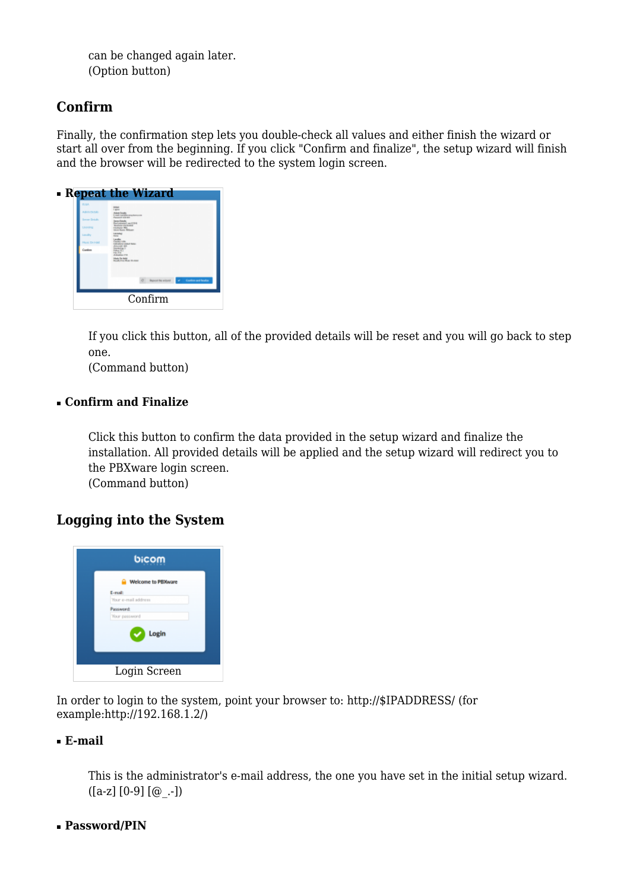can be changed again later. (Option button)

# **Confirm**

Finally, the confirmation step lets you double-check all values and either finish the wizard or start all over from the beginning. If you click "Confirm and finalize", the setup wizard will finish and the browser will be redirected to the system login screen.

| 0.54<br><b>COLLEGE</b><br>Conten | - Repeat the Wizard<br><b>Market Freinder</b><br>and consideration in the constant<br><b>CAT SERVER</b><br><b>CONTRACTOR</b><br><b>Windows CASTING</b><br><b>ALCOHOL</b><br><b>CARD MARKETING</b><br><b>CANADA PR</b><br><b>Hardy De Malla</b><br>Andreas Mark Brunsen |
|----------------------------------|------------------------------------------------------------------------------------------------------------------------------------------------------------------------------------------------------------------------------------------------------------------------|
|                                  | <b>Report the selected and Contact and Analysis</b><br>Confirm                                                                                                                                                                                                         |

If you click this button, all of the provided details will be reset and you will go back to step one.

(Command button)

# ■ **Confirm and Finalize**

Click this button to confirm the data provided in the setup wizard and finalize the installation. All provided details will be applied and the setup wizard will redirect you to the PBXware login screen. (Command button)

**Logging into the System**



In order to login to the system, point your browser to: [http://\\$IPADDRESS/](#page--1-0) (for example:[http://192.168.1.2/\)](http://192.168.1.2/)

# ■ **E-mail**

This is the administrator's e-mail address, the one you have set in the initial setup wizard.  $([a-z] [0-9] [@.] )$ 

# ■ **Password/PIN**